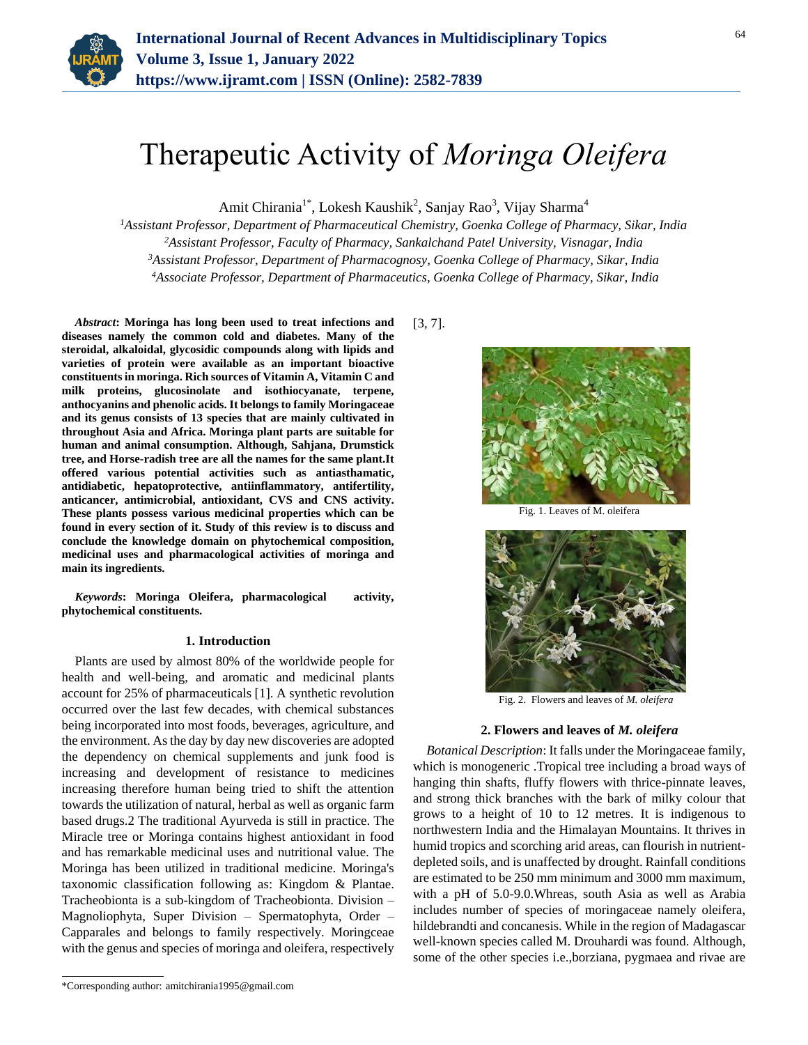

# Therapeutic Activity of *Moringa Oleifera*

Amit Chirania<sup>1\*</sup>, Lokesh Kaushik<sup>2</sup>, Sanjay Rao<sup>3</sup>, Vijay Sharma<sup>4</sup>

*Assistant Professor, Department of Pharmaceutical Chemistry, Goenka College of Pharmacy, Sikar, India Assistant Professor, Faculty of Pharmacy, Sankalchand Patel University, Visnagar, India Assistant Professor, Department of Pharmacognosy, Goenka College of Pharmacy, Sikar, India Associate Professor, Department of Pharmaceutics, Goenka College of Pharmacy, Sikar, India*

*Abstract***: Moringa has long been used to treat infections and diseases namely the common cold and diabetes. Many of the steroidal, alkaloidal, glycosidic compounds along with lipids and varieties of protein were available as an important bioactive constituents in moringa. Rich sources of Vitamin A, Vitamin C and milk proteins, glucosinolate and isothiocyanate, terpene, anthocyanins and phenolic acids. It belongs to family Moringaceae and its genus consists of 13 species that are mainly cultivated in throughout Asia and Africa. Moringa plant parts are suitable for human and animal consumption. Although, Sahjana, Drumstick tree, and Horse-radish tree are all the names for the same plant.It offered various potential activities such as antiasthamatic, antidiabetic, hepatoprotective, antiinflammatory, antifertility, anticancer, antimicrobial, antioxidant, CVS and CNS activity. These plants possess various medicinal properties which can be found in every section of it. Study of this review is to discuss and conclude the knowledge domain on phytochemical composition, medicinal uses and pharmacological activities of moringa and main its ingredients.**

*Keywords***: Moringa Oleifera, pharmacological activity, phytochemical constituents.**

#### **1. Introduction**

Plants are used by almost 80% of the worldwide people for health and well-being, and aromatic and medicinal plants account for 25% of pharmaceuticals [1]. A synthetic revolution occurred over the last few decades, with chemical substances being incorporated into most foods, beverages, agriculture, and the environment. As the day by day new discoveries are adopted the dependency on chemical supplements and junk food is increasing and development of resistance to medicines increasing therefore human being tried to shift the attention towards the utilization of natural, herbal as well as organic farm based drugs.2 The traditional Ayurveda is still in practice. The Miracle tree or Moringa contains highest antioxidant in food and has remarkable medicinal uses and nutritional value. The Moringa has been utilized in traditional medicine. Moringa's taxonomic classification following as: Kingdom & Plantae. Tracheobionta is a sub-kingdom of Tracheobionta. Division – Magnoliophyta, Super Division – Spermatophyta, Order – Capparales and belongs to family respectively. Moringceae with the genus and species of moringa and oleifera, respectively [3, 7].



Fig. 1. Leaves of M. oleifera



Fig. 2. Flowers and leaves of *M. oleifera*

#### **2. Flowers and leaves of** *M. oleifera*

*Botanical Description*: It falls under the Moringaceae family, which is monogeneric .Tropical tree including a broad ways of hanging thin shafts, fluffy flowers with thrice-pinnate leaves, and strong thick branches with the bark of milky colour that grows to a height of 10 to 12 metres. It is indigenous to northwestern India and the Himalayan Mountains. It thrives in humid tropics and scorching arid areas, can flourish in nutrientdepleted soils, and is unaffected by drought. Rainfall conditions are estimated to be 250 mm minimum and 3000 mm maximum, with a pH of 5.0-9.0.Whreas, south Asia as well as Arabia includes number of species of moringaceae namely oleifera, hildebrandti and concanesis. While in the region of Madagascar well-known species called M. Drouhardi was found. Although, some of the other species i.e.,borziana, pygmaea and rivae are

<sup>\*</sup>Corresponding author: amitchirania1995@gmail.com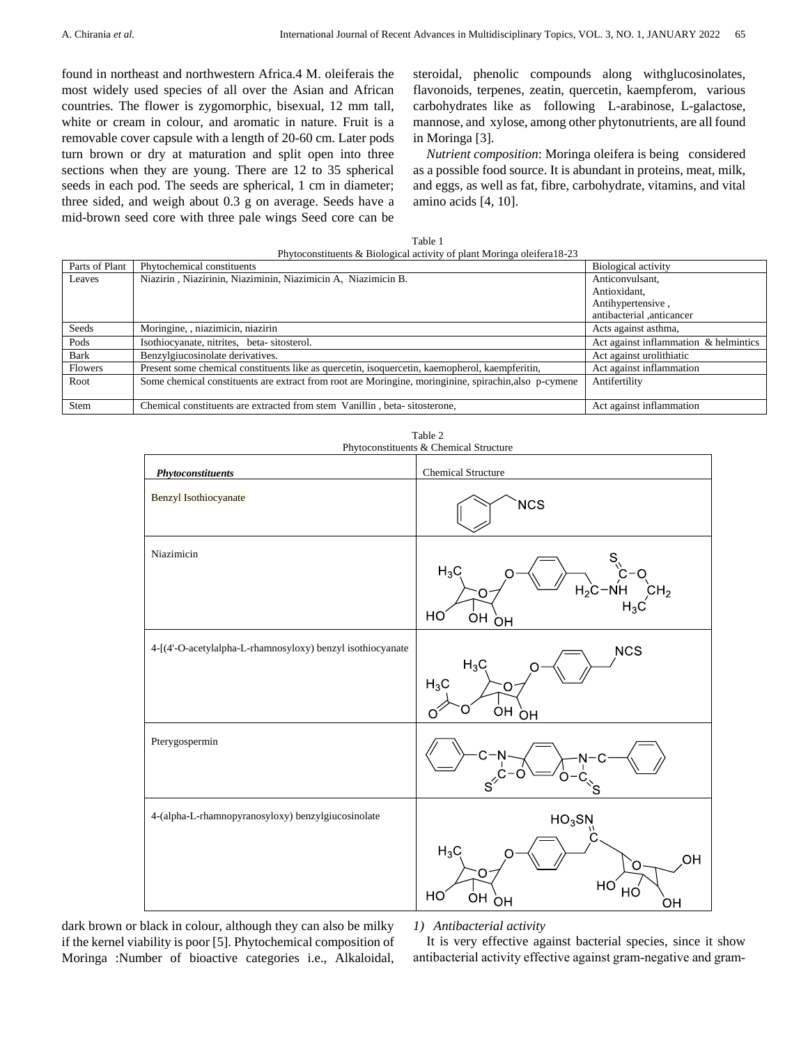found in northeast and northwestern Africa.4 M. oleiferais the most widely used species of all over the Asian and African countries. The flower is zygomorphic, bisexual, 12 mm tall, white or cream in colour, and aromatic in nature. Fruit is a removable cover capsule with a length of 20-60 cm. Later pods turn brown or dry at maturation and split open into three sections when they are young. There are 12 to 35 spherical seeds in each pod. The seeds are spherical, 1 cm in diameter; three sided, and weigh about 0.3 g on average. Seeds have a mid-brown seed core with three pale wings Seed core can be

steroidal, phenolic compounds along withglucosinolates, flavonoids, terpenes, zeatin, quercetin, kaempferom, various carbohydrates like as following L-arabinose, L-galactose, mannose, and xylose, among other phytonutrients, are all found in Moringa [3].

*Nutrient composition*: Moringa oleifera is being considered as a possible food source. It is abundant in proteins, meat, milk, and eggs, as well as fat, fibre, carbohydrate, vitamins, and vital amino acids [4, 10].

| Table 1                                                                |
|------------------------------------------------------------------------|
| Phytoconstituents & Biological activity of plant Moringa oleifera18-23 |

| Parts of Plant | Phytochemical constituents                                                                            | Biological activity                   |
|----------------|-------------------------------------------------------------------------------------------------------|---------------------------------------|
| Leaves         | Niazirin, Niazirinin, Niaziminin, Niazimicin A, Niazimicin B.                                         | Anticonvulsant,                       |
|                |                                                                                                       | Antioxidant,                          |
|                |                                                                                                       | Antihypertensive,                     |
|                |                                                                                                       | antibacterial ,anticancer             |
| Seeds          | Moringine, niazimicin, niazirin                                                                       | Acts against asthma,                  |
| Pods           | Isothiocyanate, nitrites, beta-sitosterol.                                                            | Act against inflammation & helmintics |
| Bark           | Benzylgiucosinolate derivatives.                                                                      | Act against urolithiatic              |
| Flowers        | Present some chemical constituents like as quercetin, isoquercetin, kaemopherol, kaempferitin,        | Act against inflammation              |
| Root           | Some chemical constituents are extract from root are Moringine, moringinine, spirachin, also p-cymene | Antifertility                         |
|                |                                                                                                       |                                       |
| Stem           | Chemical constituents are extracted from stem Vanillin, beta-sitosterone,                             | Act against inflammation              |



Table 2 Phytoconstituents & Chemical Structure

dark brown or black in colour, although they can also be milky if the kernel viability is poor [5]. Phytochemical composition of Moringa :Number of bioactive categories i.e., Alkaloidal,

*1) Antibacterial activity*

It is very effective against bacterial species, since it show antibacterial activity effective against gram‐negative and gram‐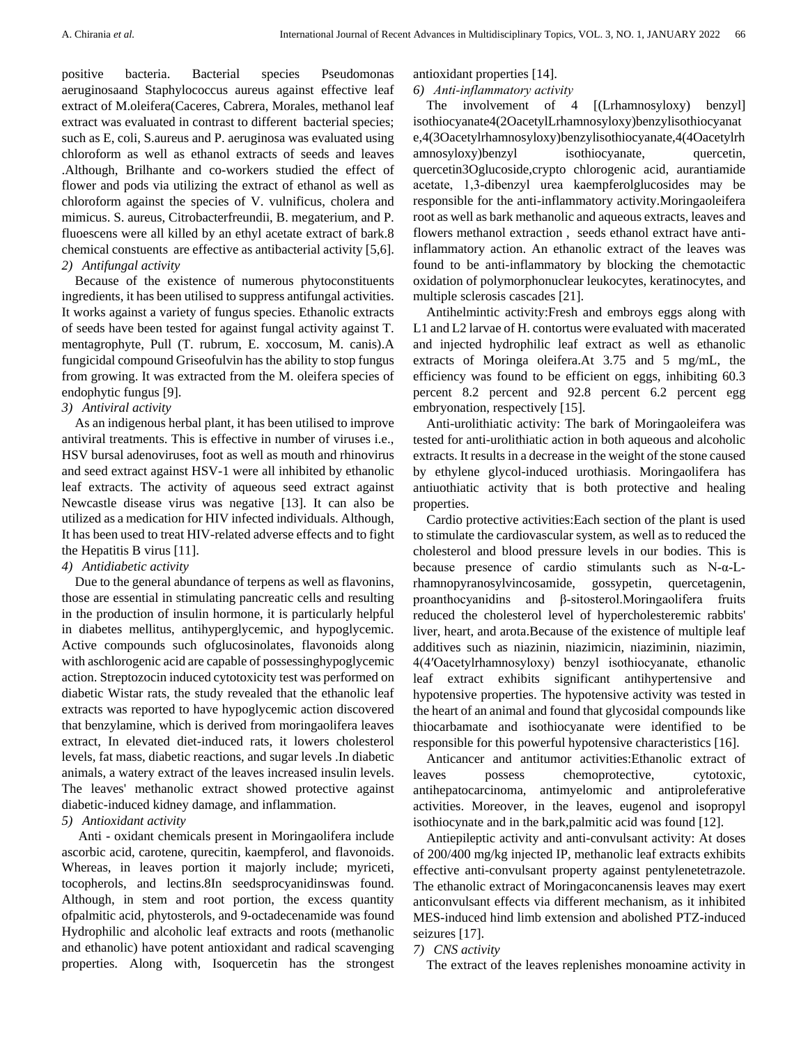positive bacteria. Bacterial species Pseudomonas aeruginosaand Staphylococcus aureus against effective leaf extract of M.oleifera(Caceres, Cabrera, Morales, methanol leaf extract was evaluated in contrast to different bacterial species; such as E, coli, S.aureus and P. aeruginosa was evaluated using chloroform as well as ethanol extracts of seeds and leaves .Although, Brilhante and co-workers studied the effect of flower and pods via utilizing the extract of ethanol as well as chloroform against the species of V. vulnificus, cholera and mimicus. S. aureus, Citrobacterfreundii, B. megaterium, and P. fluoescens were all killed by an ethyl acetate extract of bark.8 chemical constuents are effective as antibacterial activity [5,6]. *2) Antifungal activity*

## Because of the existence of numerous phytoconstituents ingredients, it has been utilised to suppress antifungal activities. It works against a variety of fungus species. Ethanolic extracts of seeds have been tested for against fungal activity against T. mentagrophyte, Pull (T. rubrum, E. xoccosum, M. canis).A fungicidal compound Griseofulvin has the ability to stop fungus from growing. It was extracted from the M. oleifera species of endophytic fungus [9].

## *3) Antiviral activity*

As an indigenous herbal plant, it has been utilised to improve antiviral treatments. This is effective in number of viruses i.e., HSV bursal adenoviruses, foot as well as mouth and rhinovirus and seed extract against HSV-1 were all inhibited by ethanolic leaf extracts. The activity of aqueous seed extract against Newcastle disease virus was negative [13]. It can also be utilized as a medication for HIV infected individuals. Although, It has been used to treat HIV-related adverse effects and to fight the Hepatitis B virus [11].

#### *4) Antidiabetic activity*

Due to the general abundance of terpens as well as flavonins, those are essential in stimulating pancreatic cells and resulting in the production of insulin hormone, it is particularly helpful in diabetes mellitus, antihyperglycemic, and hypoglycemic. Active compounds such ofglucosinolates, flavonoids along with aschlorogenic acid are capable of possessinghypoglycemic action. Streptozocin induced cytotoxicity test was performed on diabetic Wistar rats, the study revealed that the ethanolic leaf extracts was reported to have hypoglycemic action discovered that benzylamine, which is derived from moringaolifera leaves extract, In elevated diet-induced rats, it lowers cholesterol levels, fat mass, diabetic reactions, and sugar levels .In diabetic animals, a watery extract of the leaves increased insulin levels. The leaves' methanolic extract showed protective against diabetic-induced kidney damage, and inflammation.

#### *5) Antioxidant activity*

Anti - oxidant chemicals present in Moringaolifera include ascorbic acid, carotene, qurecitin, kaempferol, and flavonoids. Whereas, in leaves portion it majorly include; myriceti, tocopherols, and lectins.8In seedsprocyanidinswas found. Although, in stem and root portion, the excess quantity ofpalmitic acid, phytosterols, and 9-octadecenamide was found Hydrophilic and alcoholic leaf extracts and roots (methanolic and ethanolic) have potent antioxidant and radical scavenging properties. Along with, Isoquercetin has the strongest

antioxidant properties [14].

#### *6) Anti‐inflammatory activity*

The involvement of 4 [(Lrhamnosyloxy) benzyl] isothiocyanate4(2OacetylLrhamnosyloxy)benzylisothiocyanat e,4(3Oacetylrhamnosyloxy)benzylisothiocyanate,4(4Oacetylrh amnosyloxy)benzyl isothiocyanate, quercetin, quercetin3Oglucoside,crypto chlorogenic acid, aurantiamide acetate, 1,3‐dibenzyl urea kaempferolglucosides may be responsible for the anti-inflammatory activity.Moringaoleifera root as well as bark methanolic and aqueous extracts, leaves and flowers methanol extraction , seeds ethanol extract have antiinflammatory action. An ethanolic extract of the leaves was found to be anti-inflammatory by blocking the chemotactic oxidation of polymorphonuclear leukocytes, keratinocytes, and multiple sclerosis cascades [21].

Antihelmintic activity:Fresh and embroys eggs along with L1 and L2 larvae of H. contortus were evaluated with macerated and injected hydrophilic leaf extract as well as ethanolic extracts of Moringa oleifera.At 3.75 and 5 mg/mL, the efficiency was found to be efficient on eggs, inhibiting 60.3 percent 8.2 percent and 92.8 percent 6.2 percent egg embryonation, respectively [15].

Anti-urolithiatic activity: The bark of Moringaoleifera was tested for anti-urolithiatic action in both aqueous and alcoholic extracts. It results in a decrease in the weight of the stone caused by ethylene glycol-induced urothiasis. Moringaolifera has antiuothiatic activity that is both protective and healing properties.

Cardio protective activities:Each section of the plant is used to stimulate the cardiovascular system, as well as to reduced the cholesterol and blood pressure levels in our bodies. This is because presence of cardio stimulants such as N‐α‐L‐ rhamnopyranosylvincosamide, gossypetin, quercetagenin, proanthocyanidins and β‐sitosterol.Moringaolifera fruits reduced the cholesterol level of hypercholesteremic rabbits' liver, heart, and arota.Because of the existence of multiple leaf additives such as niazinin, niazimicin, niaziminin, niazimin, 4(4′Oacetylrhamnosyloxy) benzyl isothiocyanate, ethanolic leaf extract exhibits significant antihypertensive and hypotensive properties. The hypotensive activity was tested in the heart of an animal and found that glycosidal compounds like thiocarbamate and isothiocyanate were identified to be responsible for this powerful hypotensive characteristics [16].

Anticancer and antitumor activities:Ethanolic extract of leaves possess chemoprotective, cytotoxic, antihepatocarcinoma, antimyelomic and antiproleferative activities. Moreover, in the leaves, eugenol and isopropyl isothiocynate and in the bark,palmitic acid was found [12].

Antiepileptic activity and anti-convulsant activity: At doses of 200/400 mg/kg injected IP, methanolic leaf extracts exhibits effective anti-convulsant property against pentylenetetrazole. The ethanolic extract of Moringaconcanensis leaves may exert anticonvulsant effects via different mechanism, as it inhibited MES-induced hind limb extension and abolished PTZ-induced seizures [17].

#### *7) CNS activity*

The extract of the leaves replenishes monoamine activity in